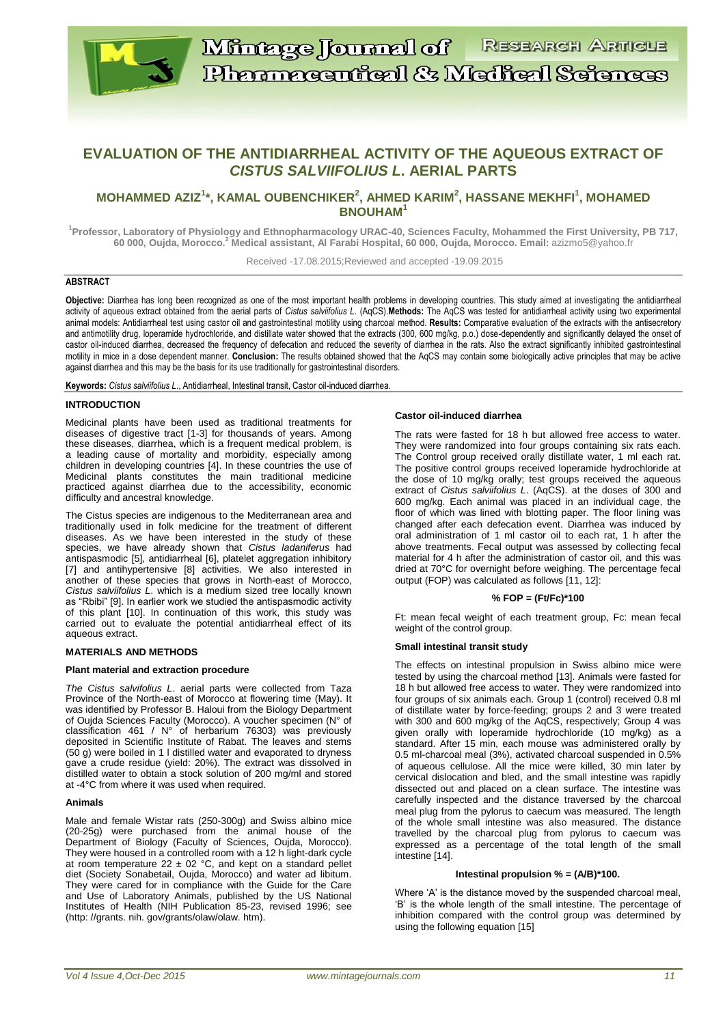

# **EVALUATION OF THE ANTIDIARRHEAL ACTIVITY OF THE AQUEOUS EXTRACT OF**  *CISTUS SALVIIFOLIUS L***. AERIAL PARTS**

## **MOHAMMED AZIZ<sup>1</sup> \*, KAMAL OUBENCHIKER<sup>2</sup> , AHMED KARIM<sup>2</sup> , HASSANE MEKHFI<sup>1</sup> , MOHAMED BNOUHAM<sup>1</sup>**

**<sup>1</sup>Professor, Laboratory of Physiology and Ethnopharmacology URAC-40, Sciences Faculty, Mohammed the First University, PB 717, 60 000, Oujda, Morocco.<sup>2</sup> Medical assistant, Al Farabi Hospital, 60 000, Oujda, Morocco. Email:** azizmo5@yahoo.fr

Received -17.08.2015;Reviewed and accepted -19.09.2015

## **ABSTRACT**

**Objective:** Diarrhea has long been recognized as one of the most important health problems in developing countries. This study aimed at investigating the antidiarrheal activity of aqueous extract obtained from the aerial parts of *Cistus salviifolius L*. (AqCS).**Methods:** The AqCS was tested for antidiarrheal activity using two experimental animal models: Antidiarrheal test using castor oil and gastrointestinal motility using charcoal method. **Results:** Comparative evaluation of the extracts with the antisecretory and antimotility drug, loperamide hydrochloride, and distillate water showed that the extracts (300, 600 mg/kg, p.o.) dose-dependently and significantly delayed the onset of castor oil-induced diarrhea, decreased the frequency of defecation and reduced the severity of diarrhea in the rats. Also the extract significantly inhibited gastrointestinal motility in mice in a dose dependent manner. **Conclusion:** The results obtained showed that the AqCS may contain some biologically active principles that may be active against diarrhea and this may be the basis for its use traditionally for gastrointestinal disorders.

**Keywords:** *Cistus salviifolius L*., Antidiarrheal, Intestinal transit, Castor oil-induced diarrhea.

#### **INTRODUCTION**

Medicinal plants have been used as traditional treatments for diseases of digestive tract [1-3] for thousands of years. Among these diseases, diarrhea, which is a frequent medical problem, is a leading cause of mortality and morbidity, especially among children in developing countries [4]. In these countries the use of Medicinal plants constitutes the main traditional medicine practiced against diarrhea due to the accessibility, economic difficulty and ancestral knowledge.

The Cistus species are indigenous to the Mediterranean area and traditionally used in folk medicine for the treatment of different diseases. As we have been interested in the study of these species, we have already shown that *Cistus ladaniferus* had antispasmodic [5], antidiarrheal [6], platelet aggregation inhibitory [7] and antihypertensive [8] activities. We also interested in another of these species that grows in North-east of Morocco, *Cistus salviifolius L*. which is a medium sized tree locally known as "Rbibi" [9]. In earlier work we studied the antispasmodic activity of this plant [10]. In continuation of this work, this study was carried out to evaluate the potential antidiarrheal effect of its aqueous extract.

#### **MATERIALS AND METHODS**

#### **Plant material and extraction procedure**

*The Cistus salvifolius L*. aerial parts were collected from Taza Province of the North-east of Morocco at flowering time (May). It was identified by Professor B. Haloui from the Biology Department of Oujda Sciences Faculty (Morocco). A voucher specimen (N° of classification 461 /  $N^{\circ}$  of herbarium 76303) was previously deposited in Scientific Institute of Rabat. The leaves and stems (50 g) were boiled in 1 l distilled water and evaporated to dryness gave a crude residue (yield: 20%). The extract was dissolved in distilled water to obtain a stock solution of 200 mg/ml and stored at -4°C from where it was used when required.

#### **Animals**

Male and female Wistar rats (250-300g) and Swiss albino mice (20-25g) were purchased from the animal house of the Department of Biology (Faculty of Sciences, Oujda, Morocco). They were housed in a controlled room with a 12 h light-dark cycle at room temperature  $22 \pm 02$  °C, and kept on a standard pellet diet (Society Sonabetail, Oujda, Morocco) and water ad libitum. They were cared for in compliance with the Guide for the Care and Use of Laboratory Animals, published by the US National Institutes of Health (NIH Publication 85-23, revised 1996; see (http: //grants. nih. gov/grants/olaw/olaw. htm).

#### **Castor oil-induced diarrhea**

The rats were fasted for 18 h but allowed free access to water. They were randomized into four groups containing six rats each. The Control group received orally distillate water, 1 ml each rat. The positive control groups received loperamide hydrochloride at the dose of 10 mg/kg orally; test groups received the aqueous extract of *Cistus salviifolius L*. (AqCS). at the doses of 300 and 600 mg/kg. Each animal was placed in an individual cage, the floor of which was lined with blotting paper. The floor lining was changed after each defecation event. Diarrhea was induced by oral administration of 1 ml castor oil to each rat, 1 h after the above treatments. Fecal output was assessed by collecting fecal material for 4 h after the administration of castor oil, and this was dried at 70°C for overnight before weighing. The percentage fecal output (FOP) was calculated as follows [11, 12]:

#### **% FOP = (Ft/Fc)\*100**

Ft: mean fecal weight of each treatment group, Fc: mean fecal weight of the control group.

#### **Small intestinal transit study**

The effects on intestinal propulsion in Swiss albino mice were tested by using the charcoal method [13]. Animals were fasted for 18 h but allowed free access to water. They were randomized into four groups of six animals each. Group 1 (control) received 0.8 ml of distillate water by force-feeding; groups 2 and 3 were treated with 300 and 600 mg/kg of the AqCS, respectively; Group 4 was given orally with loperamide hydrochloride (10 mg/kg) as a standard. After 15 min, each mouse was administered orally by 0.5 ml-charcoal meal (3%), activated charcoal suspended in  $0.5\%$ of aqueous cellulose. All the mice were killed, 30 min later by cervical dislocation and bled, and the small intestine was rapidly dissected out and placed on a clean surface. The intestine was carefully inspected and the distance traversed by the charcoal meal plug from the pylorus to caecum was measured. The length of the whole small intestine was also measured. The distance travelled by the charcoal plug from pylorus to caecum was expressed as a percentage of the total length of the small intestine [14].

#### **Intestinal propulsion % = (A/B)\*100.**

Where 'A' is the distance moved by the suspended charcoal meal, 'B' is the whole length of the small intestine. The percentage of inhibition compared with the control group was determined by using the following equation [15]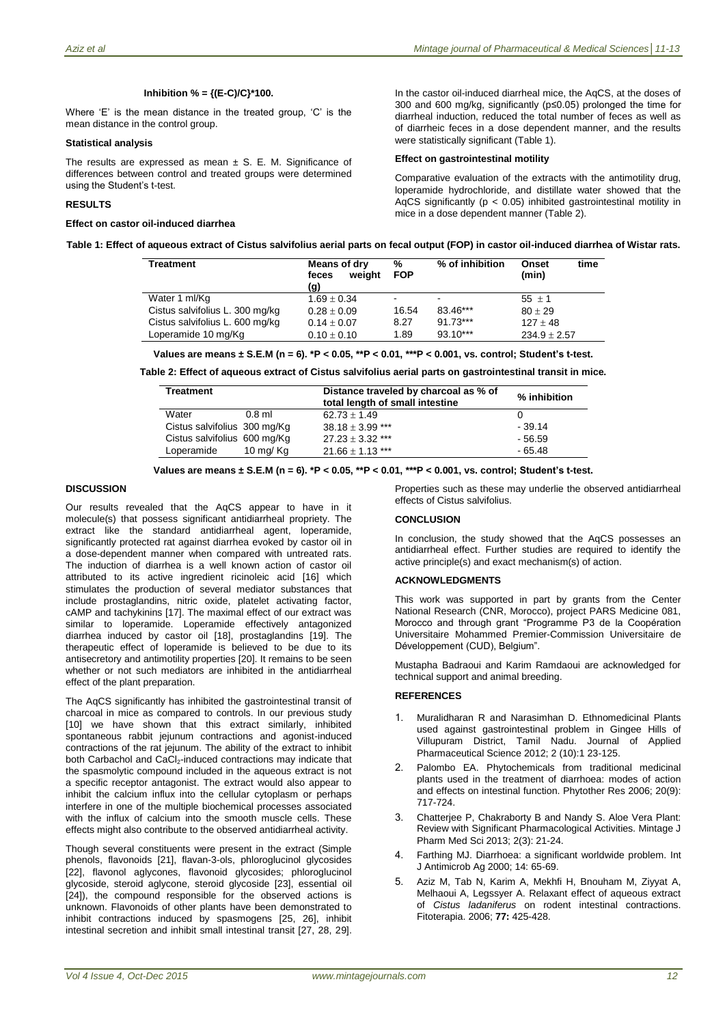## **Inhibition % = {(E-C)/C}\*100.**

Where 'E' is the mean distance in the treated group, 'C' is the mean distance in the control group.

#### **Statistical analysis**

The results are expressed as mean  $\pm$  S. E. M. Significance of differences between control and treated groups were determined using the Student's t-test.

## **RESULTS**

#### **Effect on castor oil-induced diarrhea**

In the castor oil-induced diarrheal mice, the AqCS, at the doses of 300 and 600 mg/kg, significantly (p≤0.05) prolonged the time for diarrheal induction, reduced the total number of feces as well as of diarrheic feces in a dose dependent manner, and the results were statistically significant (Table 1).

## **Effect on gastrointestinal motility**

Comparative evaluation of the extracts with the antimotility drug, loperamide hydrochloride, and distillate water showed that the AqCS significantly ( $p < 0.05$ ) inhibited gastrointestinal motility in mice in a dose dependent manner (Table 2).

| Table 1: Effect of aqueous extract of Cistus salvifolius aerial parts on fecal output (FOP) in castor oil-induced diarrhea of Wistar rats. |
|--------------------------------------------------------------------------------------------------------------------------------------------|
|--------------------------------------------------------------------------------------------------------------------------------------------|

| Treatment                       | Means of dry<br>weiaht<br>feces<br>(g) | %<br><b>FOP</b> | % of inhibition | time<br><b>Onset</b><br>(min) |
|---------------------------------|----------------------------------------|-----------------|-----------------|-------------------------------|
| Water 1 ml/Kg                   | $1.69 \pm 0.34$                        |                 | $\,$            | $55 + 1$                      |
| Cistus salvifolius L. 300 mg/kg | $0.28 \pm 0.09$                        | 16.54           | 83.46***        | $80 \pm 29$                   |
| Cistus salvifolius L. 600 mg/kg | $0.14 \pm 0.07$                        | 8.27            | $91.73***$      | $127 + 48$                    |
| Loperamide 10 mg/Kg             | $0.10 \pm 0.10$                        | 1.89            | $93.10***$      | $234.9 \pm 2.57$              |

**Values are means ± S.E.M (n = 6). \*P < 0.05, \*\*P < 0.01, \*\*\*P < 0.001, vs. control; Student's t-test.**

**Table 2: Effect of aqueous extract of Cistus salvifolius aerial parts on gastrointestinal transit in mice.**

| Treatment                    |             | Distance traveled by charcoal as % of<br>total length of small intestine | % inhibition |
|------------------------------|-------------|--------------------------------------------------------------------------|--------------|
| Water                        | $0.8$ ml    | $62.73 + 1.49$                                                           |              |
| Cistus salvifolius 300 mg/Kg |             | $38.18 + 3.99$ ***                                                       | $-39.14$     |
| Cistus salvifolius 600 mg/Kg |             | $27.23 + 3.32$ ***                                                       | - 56.59      |
| Loperamide                   | 10 mg/ $Kg$ | $21.66 + 1.13$ ***                                                       | - 65.48      |

**Values are means ± S.E.M (n = 6). \*P < 0.05, \*\*P < 0.01, \*\*\*P < 0.001, vs. control; Student's t-test.**

#### **DISCUSSION**

Our results revealed that the AqCS appear to have in it molecule(s) that possess significant antidiarrheal propriety. The extract like the standard antidiarrheal agent, loperamide, significantly protected rat against diarrhea evoked by castor oil in a dose-dependent manner when compared with untreated rats. The induction of diarrhea is a well known action of castor oil attributed to its active ingredient ricinoleic acid [16] which stimulates the production of several mediator substances that include prostaglandins, nitric oxide, platelet activating factor, cAMP and tachykinins [17]. The maximal effect of our extract was similar to loperamide. Loperamide effectively antagonized diarrhea induced by castor oil [18], prostaglandins [19]. The therapeutic effect of loperamide is believed to be due to its antisecretory and antimotility properties [20]. It remains to be seen whether or not such mediators are inhibited in the antidiarrheal effect of the plant preparation.

The AqCS significantly has inhibited the gastrointestinal transit of charcoal in mice as compared to controls. In our previous study [10] we have shown that this extract similarly, inhibited spontaneous rabbit jejunum contractions and agonist-induced contractions of the rat jejunum. The ability of the extract to inhibit both Carbachol and CaCl<sub>2</sub>-induced contractions may indicate that the spasmolytic compound included in the aqueous extract is not a specific receptor antagonist. The extract would also appear to inhibit the calcium influx into the cellular cytoplasm or perhaps interfere in one of the multiple biochemical processes associated with the influx of calcium into the smooth muscle cells. These effects might also contribute to the observed antidiarrheal activity.

Though several constituents were present in the extract (Simple phenols, flavonoids [21], flavan-3-ols, phloroglucinol glycosides [22], flavonol aglycones, flavonoid glycosides; phloroglucinol glycoside, steroid aglycone, steroid glycoside [23], essential oil [24]), the compound responsible for the observed actions is unknown. Flavonoids of other plants have been demonstrated to inhibit contractions induced by spasmogens [25, 26], inhibit intestinal secretion and inhibit small intestinal transit [27, 28, 29].

Properties such as these may underlie the observed antidiarrheal effects of Cistus salvifolius.

#### **CONCLUSION**

In conclusion, the study showed that the AqCS possesses an antidiarrheal effect. Further studies are required to identify the active principle(s) and exact mechanism(s) of action.

## **ACKNOWLEDGMENTS**

This work was supported in part by grants from the Center National Research (CNR, Morocco), project PARS Medicine 081, Morocco and through grant "Programme P3 de la Coopération Universitaire Mohammed Premier-Commission Universitaire de Développement (CUD), Belgium".

Mustapha Badraoui and Karim Ramdaoui are acknowledged for technical support and animal breeding.

#### **REFERENCES**

- 1. Muralidharan R and Narasimhan D. Ethnomedicinal Plants used against gastrointestinal problem in Gingee Hills of Villupuram District, Tamil Nadu. Journal of Applied Pharmaceutical Science 2012; 2 (10):1 23-125.
- 2. Palombo EA. Phytochemicals from traditional medicinal plants used in the treatment of diarrhoea: modes of action and effects on intestinal function. Phytother Res 2006; 20(9): 717-724.
- 3. Chatterjee P, Chakraborty B and Nandy S. Aloe Vera Plant: Review with Significant Pharmacological Activities. Mintage J Pharm Med Sci 2013; 2(3): 21-24.
- 4. Farthing MJ. Diarrhoea: a significant worldwide problem. Int J Antimicrob Ag 2000; 14: 65-69.
- 5. Aziz M, Tab N, Karim A, Mekhfi H, Bnouham M, Ziyyat A, Melhaoui A, Legssyer A. Relaxant effect of aqueous extract of *Cistus ladaniferus* on rodent intestinal contractions. Fitoterapia. 2006; **77:** 425-428.